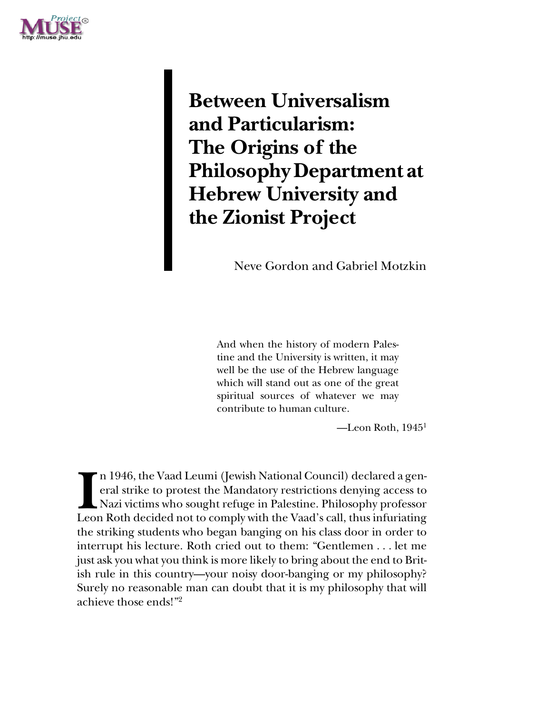

**Between Universalism and Particularism: The Origins of the Philosophy Department at Hebrew University and the Zionist Project**

Neve Gordon and Gabriel Motzkin

And when the history of modern Palestine and the University is written, it may well be the use of the Hebrew language which will stand out as one of the great spiritual sources of whatever we may contribute to human culture.

—Leon Roth,  $1945<sup>1</sup>$ 

n 1946, the Vaad Leumi (Jewish National Council) declared a general strike to protest the Mandatory restrictions denying access to Nazi victims who sought refuge in Palestine. Philosophy professor In 1946, the Vaad Leumi (Jewish National Council) declared a general strike to protest the Mandatory restrictions denying access to Nazi victims who sought refuge in Palestine. Philosophy professor Leon Roth decided not to the striking students who began banging on his class door in order to interrupt his lecture. Roth cried out to them: "Gentlemen . . . let me just ask you what you think is more likely to bring about the end to British rule in this country—your noisy door-banging or my philosophy? Surely no reasonable man can doubt that it is my philosophy that will achieve those ends!"2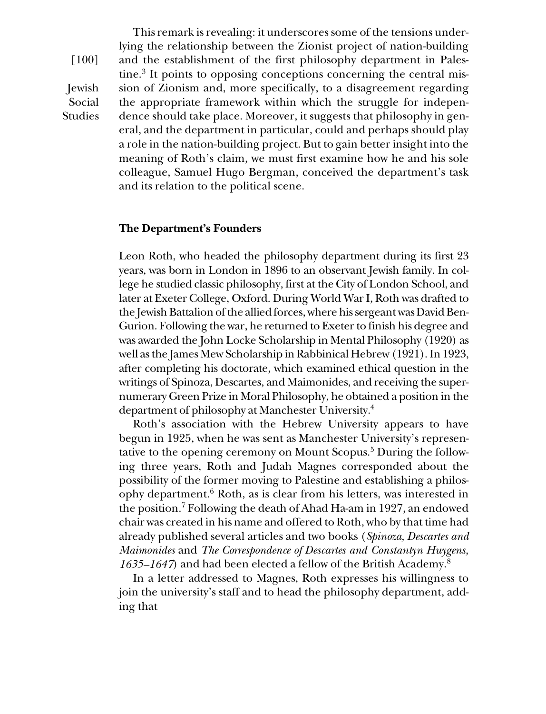[100]

Jewish Social Studies

This remark is revealing: it underscores some of the tensions underlying the relationship between the Zionist project of nation-building and the establishment of the first philosophy department in Palestine.<sup>3</sup> It points to opposing conceptions concerning the central mission of Zionism and, more specifically, to a disagreement regarding the appropriate framework within which the struggle for independence should take place. Moreover, it suggests that philosophy in general, and the department in particular, could and perhaps should play a role in the nation-building project. But to gain better insight into the meaning of Roth's claim, we must first examine how he and his sole colleague, Samuel Hugo Bergman, conceived the department's task and its relation to the political scene.

### **The Department's Founders**

Leon Roth, who headed the philosophy department during its first 23 years, was born in London in 1896 to an observant Jewish family. In college he studied classic philosophy, first at the City of London School, and later at Exeter College, Oxford. During World War I, Roth was drafted to the Jewish Battalion of the allied forces, where his sergeant was David Ben-Gurion. Following the war, he returned to Exeter to finish his degree and was awarded the John Locke Scholarship in Mental Philosophy (1920) as well as the James Mew Scholarship in Rabbinical Hebrew (1921). In 1923, after completing his doctorate, which examined ethical question in the writings of Spinoza, Descartes, and Maimonides, and receiving the supernumerary Green Prize in Moral Philosophy, he obtained a position in the department of philosophy at Manchester University.4

Roth's association with the Hebrew University appears to have begun in 1925, when he was sent as Manchester University's representative to the opening ceremony on Mount Scopus.<sup>5</sup> During the following three years, Roth and Judah Magnes corresponded about the possibility of the former moving to Palestine and establishing a philosophy department.<sup>6</sup> Roth, as is clear from his letters, was interested in the position.7 Following the death of Ahad Ha-am in 1927, an endowed chair was created in his name and offered to Roth, who by that time had already published several articles and two books (*Spinoza, Descartes and Maimonides* and *The Correspondence of Descartes and Constantyn Huygens, 1635–1647*) and had been elected a fellow of the British Academy.8

In a letter addressed to Magnes, Roth expresses his willingness to join the university's staff and to head the philosophy department, adding that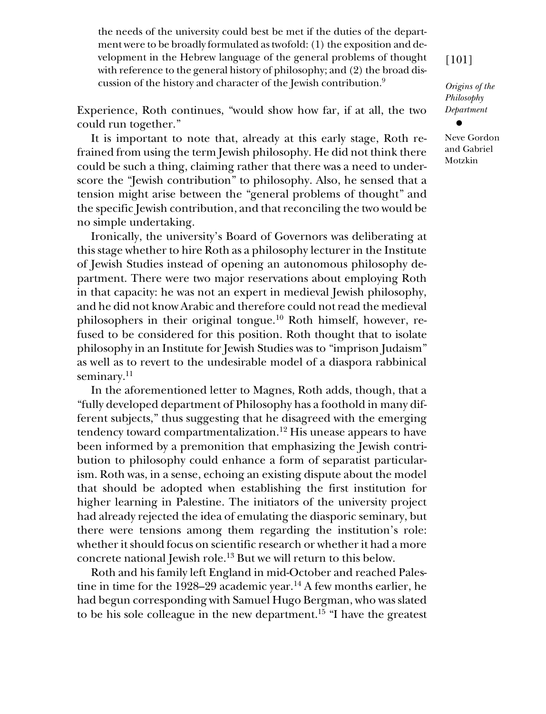the needs of the university could best be met if the duties of the department were to be broadly formulated as twofold: (1) the exposition and development in the Hebrew language of the general problems of thought with reference to the general history of philosophy; and (2) the broad discussion of the history and character of the Jewish contribution.<sup>9</sup>

Experience, Roth continues, "would show how far, if at all, the two could run together."

It is important to note that, already at this early stage, Roth refrained from using the term Jewish philosophy. He did not think there could be such a thing, claiming rather that there was a need to underscore the "Jewish contribution" to philosophy. Also, he sensed that a tension might arise between the "general problems of thought" and the specific Jewish contribution, and that reconciling the two would be no simple undertaking.

Ironically, the university's Board of Governors was deliberating at this stage whether to hire Roth as a philosophy lecturer in the Institute of Jewish Studies instead of opening an autonomous philosophy department. There were two major reservations about employing Roth in that capacity: he was not an expert in medieval Jewish philosophy, and he did not know Arabic and therefore could not read the medieval philosophers in their original tongue.10 Roth himself, however, refused to be considered for this position. Roth thought that to isolate philosophy in an Institute for Jewish Studies was to "imprison Judaism" as well as to revert to the undesirable model of a diaspora rabbinical seminary.<sup>11</sup>

In the aforementioned letter to Magnes, Roth adds, though, that a "fully developed department of Philosophy has a foothold in many different subjects," thus suggesting that he disagreed with the emerging tendency toward compartmentalization.<sup>12</sup> His unease appears to have been informed by a premonition that emphasizing the Jewish contribution to philosophy could enhance a form of separatist particularism. Roth was, in a sense, echoing an existing dispute about the model that should be adopted when establishing the first institution for higher learning in Palestine. The initiators of the university project had already rejected the idea of emulating the diasporic seminary, but there were tensions among them regarding the institution's role: whether it should focus on scientific research or whether it had a more concrete national Jewish role.13 But we will return to this below.

Roth and his family left England in mid-October and reached Palestine in time for the 1928–29 academic year.<sup>14</sup> A few months earlier, he had begun corresponding with Samuel Hugo Bergman, who was slated to be his sole colleague in the new department.<sup>15</sup> "I have the greatest [101]

*Origins of the Philosophy Department* •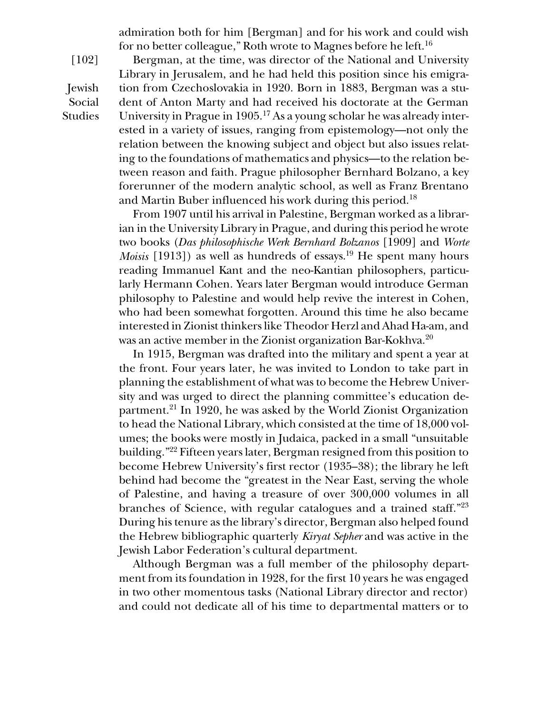admiration both for him [Bergman] and for his work and could wish for no better colleague," Roth wrote to Magnes before he left.<sup>16</sup>

Jewish Social Studies

[102]

Bergman, at the time, was director of the National and University Library in Jerusalem, and he had held this position since his emigration from Czechoslovakia in 1920. Born in 1883, Bergman was a student of Anton Marty and had received his doctorate at the German University in Prague in 1905.17 As a young scholar he was already interested in a variety of issues, ranging from epistemology—not only the relation between the knowing subject and object but also issues relating to the foundations of mathematics and physics—to the relation between reason and faith. Prague philosopher Bernhard Bolzano, a key forerunner of the modern analytic school, as well as Franz Brentano and Martin Buber influenced his work during this period.18

From 1907 until his arrival in Palestine, Bergman worked as a librarian in the University Library in Prague, and during this period he wrote two books (*Das philosophische Werk Bernhard Bolzanos* [1909] and *Worte Moisis* [1913]) as well as hundreds of essays.<sup>19</sup> He spent many hours reading Immanuel Kant and the neo-Kantian philosophers, particularly Hermann Cohen. Years later Bergman would introduce German philosophy to Palestine and would help revive the interest in Cohen, who had been somewhat forgotten. Around this time he also became interested in Zionist thinkers like Theodor Herzl and Ahad Ha-am, and was an active member in the Zionist organization Bar-Kokhva.<sup>20</sup>

In 1915, Bergman was drafted into the military and spent a year at the front. Four years later, he was invited to London to take part in planning the establishment of what was to become the Hebrew University and was urged to direct the planning committee's education department.<sup>21</sup> In 1920, he was asked by the World Zionist Organization to head the National Library, which consisted at the time of 18,000 volumes; the books were mostly in Judaica, packed in a small "unsuitable building."22 Fifteen years later, Bergman resigned from this position to become Hebrew University's first rector (1935–38); the library he left behind had become the "greatest in the Near East, serving the whole of Palestine, and having a treasure of over 300,000 volumes in all branches of Science, with regular catalogues and a trained staff."<sup>23</sup> During his tenure as the library's director, Bergman also helped found the Hebrew bibliographic quarterly *Kiryat Sepher* and was active in the Jewish Labor Federation's cultural department.

Although Bergman was a full member of the philosophy department from its foundation in 1928, for the first 10 years he was engaged in two other momentous tasks (National Library director and rector) and could not dedicate all of his time to departmental matters or to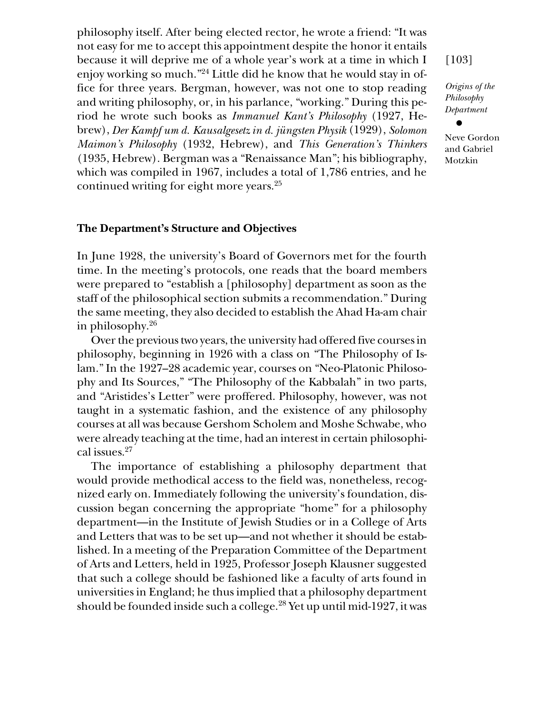philosophy itself. After being elected rector, he wrote a friend: "It was not easy for me to accept this appointment despite the honor it entails because it will deprive me of a whole year's work at a time in which I enjoy working so much."24 Little did he know that he would stay in office for three years. Bergman, however, was not one to stop reading and writing philosophy, or, in his parlance, "working." During this period he wrote such books as *Immanuel Kant's Philosophy* (1927, Hebrew), *Der Kampf um d. Kausalgesetz in d. jüngsten Physik* (1929), *Solomon Maimon's Philosophy* (1932, Hebrew), and *This Generation's Thinkers* (1935, Hebrew). Bergman was a "Renaissance Man"; his bibliography, which was compiled in 1967, includes a total of 1,786 entries, and he continued writing for eight more years.<sup>25</sup>

## **The Department's Structure and Objectives**

In June 1928, the university's Board of Governors met for the fourth time. In the meeting's protocols, one reads that the board members were prepared to "establish a [philosophy] department as soon as the staff of the philosophical section submits a recommendation." During the same meeting, they also decided to establish the Ahad Ha-am chair in philosophy.26

Over the previous two years, the university had offered five courses in philosophy, beginning in 1926 with a class on "The Philosophy of Islam." In the 1927–28 academic year, courses on "Neo-Platonic Philosophy and Its Sources," "The Philosophy of the Kabbalah" in two parts, and "Aristides's Letter" were proffered. Philosophy, however, was not taught in a systematic fashion, and the existence of any philosophy courses at all was because Gershom Scholem and Moshe Schwabe, who were already teaching at the time, had an interest in certain philosophical issues.27

The importance of establishing a philosophy department that would provide methodical access to the field was, nonetheless, recognized early on. Immediately following the university's foundation, discussion began concerning the appropriate "home" for a philosophy department—in the Institute of Jewish Studies or in a College of Arts and Letters that was to be set up—and not whether it should be established. In a meeting of the Preparation Committee of the Department of Arts and Letters, held in 1925, Professor Joseph Klausner suggested that such a college should be fashioned like a faculty of arts found in universities in England; he thus implied that a philosophy department should be founded inside such a college.<sup>28</sup> Yet up until mid-1927, it was

[103]

*Origins of the Philosophy Department* •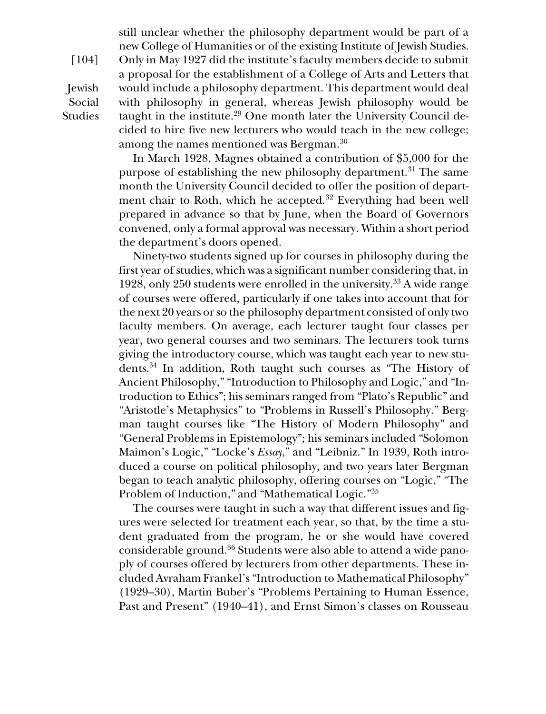still unclear whether the philosophy department would be part of a new College of Humanities or of the existing Institute of Jewish Studies. Only in May 1927 did the institute's faculty members decide to submit a proposal for the establishment of a College of Arts and Letters that would include a philosophy department. This department would deal

with philosophy in general, whereas Jewish philosophy would be taught in the institute.<sup>29</sup> One month later the University Council decided to hire five new lecturers who would teach in the new college; among the names mentioned was Bergman.30

In March 1928, Magnes obtained a contribution of \$5,000 for the purpose of establishing the new philosophy department.<sup>31</sup> The same month the University Council decided to offer the position of department chair to Roth, which he accepted.32 Everything had been well prepared in advance so that by June, when the Board of Governors convened, only a formal approval was necessary. Within a short period the department's doors opened.

Ninety-two students signed up for courses in philosophy during the first year of studies, which was a significant number considering that, in 1928, only 250 students were enrolled in the university.<sup>33</sup> A wide range of courses were offered, particularly if one takes into account that for the next 20 years or so the philosophy department consisted of only two faculty members. On average, each lecturer taught four classes per year, two general courses and two seminars. The lecturers took turns giving the introductory course, which was taught each year to new students.34 In addition, Roth taught such courses as "The History of Ancient Philosophy," "Introduction to Philosophy and Logic," and "Introduction to Ethics"; his seminars ranged from "Plato's Republic" and "Aristotle's Metaphysics" to "Problems in Russell's Philosophy." Bergman taught courses like "The History of Modern Philosophy" and "General Problems in Epistemology"; his seminars included "Solomon Maimon's Logic," "Locke's *Essay*," and "Leibniz." In 1939, Roth introduced a course on political philosophy, and two years later Bergman began to teach analytic philosophy, offering courses on "Logic," "The Problem of Induction," and "Mathematical Logic."35

The courses were taught in such a way that different issues and figures were selected for treatment each year, so that, by the time a student graduated from the program, he or she would have covered considerable ground.36 Students were also able to attend a wide panoply of courses offered by lecturers from other departments. These included Avraham Frankel's "Introduction to Mathematical Philosophy" (1929–30), Martin Buber's "Problems Pertaining to Human Essence, Past and Present" (1940–41), and Ernst Simon's classes on Rousseau

[104]

Jewish Social Studies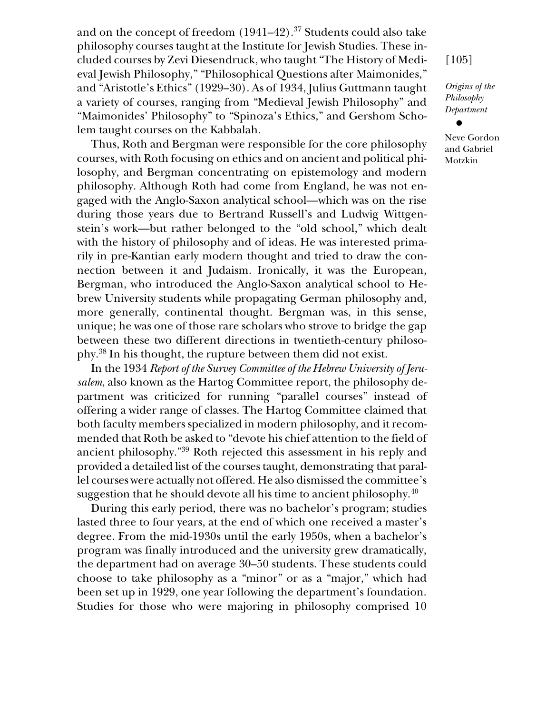and on the concept of freedom (1941–42).<sup>37</sup> Students could also take philosophy courses taught at the Institute for Jewish Studies. These included courses by Zevi Diesendruck, who taught "The History of Medieval Jewish Philosophy," "Philosophical Questions after Maimonides," and "Aristotle's Ethics" (1929–30). As of 1934, Julius Guttmann taught a variety of courses, ranging from "Medieval Jewish Philosophy" and "Maimonides' Philosophy" to "Spinoza's Ethics," and Gershom Scholem taught courses on the Kabbalah.

Thus, Roth and Bergman were responsible for the core philosophy courses, with Roth focusing on ethics and on ancient and political philosophy, and Bergman concentrating on epistemology and modern philosophy. Although Roth had come from England, he was not engaged with the Anglo-Saxon analytical school—which was on the rise during those years due to Bertrand Russell's and Ludwig Wittgenstein's work—but rather belonged to the "old school," which dealt with the history of philosophy and of ideas. He was interested primarily in pre-Kantian early modern thought and tried to draw the connection between it and Judaism. Ironically, it was the European, Bergman, who introduced the Anglo-Saxon analytical school to Hebrew University students while propagating German philosophy and, more generally, continental thought. Bergman was, in this sense, unique; he was one of those rare scholars who strove to bridge the gap between these two different directions in twentieth-century philosophy.38 In his thought, the rupture between them did not exist.

In the 1934 *Report of the Survey Committee of the Hebrew University of Jerusalem*, also known as the Hartog Committee report, the philosophy department was criticized for running "parallel courses" instead of offering a wider range of classes. The Hartog Committee claimed that both faculty members specialized in modern philosophy, and it recommended that Roth be asked to "devote his chief attention to the field of ancient philosophy."39 Roth rejected this assessment in his reply and provided a detailed list of the courses taught, demonstrating that parallel courses were actually not offered. He also dismissed the committee's suggestion that he should devote all his time to ancient philosophy.40

During this early period, there was no bachelor's program; studies lasted three to four years, at the end of which one received a master's degree. From the mid-1930s until the early 1950s, when a bachelor's program was finally introduced and the university grew dramatically, the department had on average 30–50 students. These students could choose to take philosophy as a "minor" or as a "major," which had been set up in 1929, one year following the department's foundation. Studies for those who were majoring in philosophy comprised 10

[105]

*Origins of the Philosophy Department* •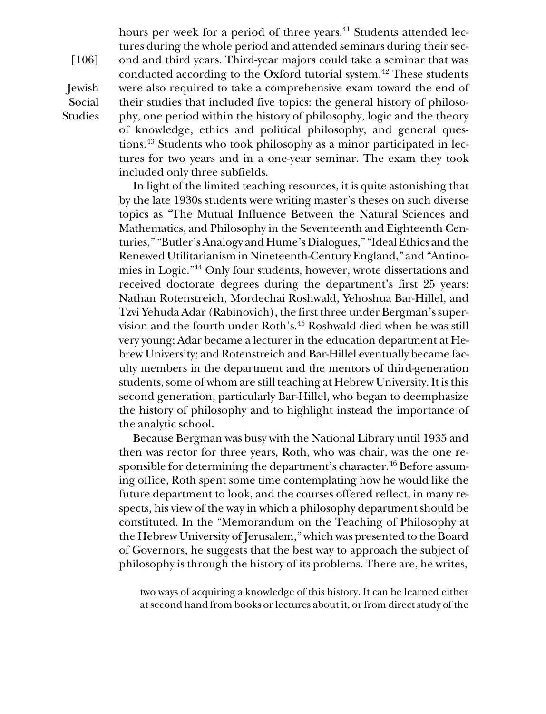Jewish Social Studies

[106]

hours per week for a period of three years.<sup>41</sup> Students attended lectures during the whole period and attended seminars during their second and third years. Third-year majors could take a seminar that was conducted according to the Oxford tutorial system.42 These students were also required to take a comprehensive exam toward the end of their studies that included five topics: the general history of philosophy, one period within the history of philosophy, logic and the theory of knowledge, ethics and political philosophy, and general questions.43 Students who took philosophy as a minor participated in lectures for two years and in a one-year seminar. The exam they took included only three subfields.

In light of the limited teaching resources, it is quite astonishing that by the late 1930s students were writing master's theses on such diverse topics as "The Mutual Influence Between the Natural Sciences and Mathematics, and Philosophy in the Seventeenth and Eighteenth Centuries," "Butler's Analogy and Hume's Dialogues," "Ideal Ethics and the Renewed Utilitarianism in Nineteenth-Century England," and "Antinomies in Logic."44 Only four students, however, wrote dissertations and received doctorate degrees during the department's first 25 years: Nathan Rotenstreich, Mordechai Roshwald, Yehoshua Bar-Hillel, and Tzvi Yehuda Adar (Rabinovich), the first three under Bergman's supervision and the fourth under Roth's.45 Roshwald died when he was still very young; Adar became a lecturer in the education department at Hebrew University; and Rotenstreich and Bar-Hillel eventually became faculty members in the department and the mentors of third-generation students, some of whom are still teaching at Hebrew University. It is this second generation, particularly Bar-Hillel, who began to deemphasize the history of philosophy and to highlight instead the importance of the analytic school.

Because Bergman was busy with the National Library until 1935 and then was rector for three years, Roth, who was chair, was the one responsible for determining the department's character.<sup>46</sup> Before assuming office, Roth spent some time contemplating how he would like the future department to look, and the courses offered reflect, in many respects, his view of the way in which a philosophy department should be constituted. In the "Memorandum on the Teaching of Philosophy at the Hebrew University of Jerusalem," which was presented to the Board of Governors, he suggests that the best way to approach the subject of philosophy is through the history of its problems. There are, he writes,

two ways of acquiring a knowledge of this history. It can be learned either at second hand from books or lectures about it, or from direct study of the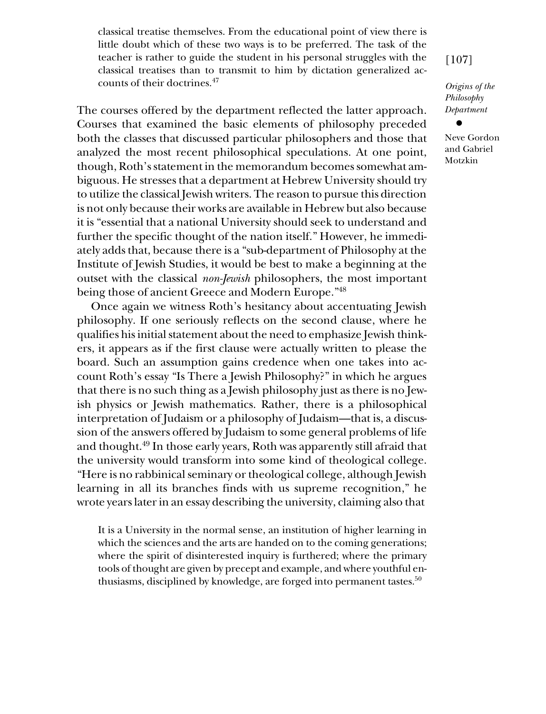classical treatise themselves. From the educational point of view there is little doubt which of these two ways is to be preferred. The task of the teacher is rather to guide the student in his personal struggles with the classical treatises than to transmit to him by dictation generalized accounts of their doctrines.<sup>47</sup>

The courses offered by the department reflected the latter approach. Courses that examined the basic elements of philosophy preceded both the classes that discussed particular philosophers and those that analyzed the most recent philosophical speculations. At one point, though, Roth's statement in the memorandum becomes somewhat ambiguous. He stresses that a department at Hebrew University should try to utilize the classical Jewish writers. The reason to pursue this direction is not only because their works are available in Hebrew but also because it is "essential that a national University should seek to understand and further the specific thought of the nation itself." However, he immediately adds that, because there is a "sub-department of Philosophy at the Institute of Jewish Studies, it would be best to make a beginning at the outset with the classical *non-Jewish* philosophers, the most important being those of ancient Greece and Modern Europe."48

Once again we witness Roth's hesitancy about accentuating Jewish philosophy. If one seriously reflects on the second clause, where he qualifies his initial statement about the need to emphasize Jewish thinkers, it appears as if the first clause were actually written to please the board. Such an assumption gains credence when one takes into account Roth's essay "Is There a Jewish Philosophy?" in which he argues that there is no such thing as a Jewish philosophy just as there is no Jewish physics or Jewish mathematics. Rather, there is a philosophical interpretation of Judaism or a philosophy of Judaism—that is, a discussion of the answers offered by Judaism to some general problems of life and thought.49 In those early years, Roth was apparently still afraid that the university would transform into some kind of theological college. "Here is no rabbinical seminary or theological college, although Jewish learning in all its branches finds with us supreme recognition," he wrote years later in an essay describing the university, claiming also that

It is a University in the normal sense, an institution of higher learning in which the sciences and the arts are handed on to the coming generations; where the spirit of disinterested inquiry is furthered; where the primary tools of thought are given by precept and example, and where youthful enthusiasms, disciplined by knowledge, are forged into permanent tastes.<sup>50</sup>

[107]

*Origins of the Philosophy Department*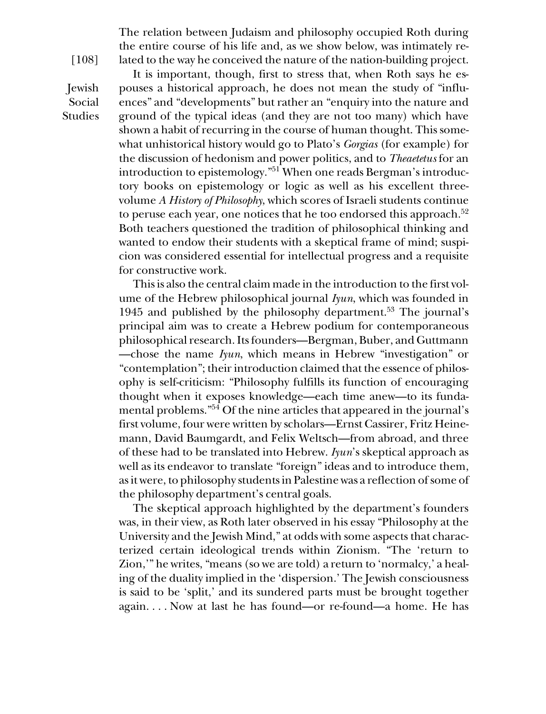The relation between Judaism and philosophy occupied Roth during the entire course of his life and, as we show below, was intimately related to the way he conceived the nature of the nation-building project.

Jewish Social Studies

[108]

It is important, though, first to stress that, when Roth says he espouses a historical approach, he does not mean the study of "influences" and "developments" but rather an "enquiry into the nature and ground of the typical ideas (and they are not too many) which have shown a habit of recurring in the course of human thought. This somewhat unhistorical history would go to Plato's *Gorgias* (for example) for the discussion of hedonism and power politics, and to *Theaetetus* for an introduction to epistemology."51 When one reads Bergman's introductory books on epistemology or logic as well as his excellent threevolume *A History of Philosophy*, which scores of Israeli students continue to peruse each year, one notices that he too endorsed this approach.<sup>52</sup> Both teachers questioned the tradition of philosophical thinking and wanted to endow their students with a skeptical frame of mind; suspicion was considered essential for intellectual progress and a requisite for constructive work.

This is also the central claim made in the introduction to the first volume of the Hebrew philosophical journal *Iyun*, which was founded in 1945 and published by the philosophy department.53 The journal's principal aim was to create a Hebrew podium for contemporaneous philosophical research. Its founders—Bergman, Buber, and Guttmann —chose the name *Iyun*, which means in Hebrew "investigation" or "contemplation"; their introduction claimed that the essence of philosophy is self-criticism: "Philosophy fulfills its function of encouraging thought when it exposes knowledge—each time anew—to its fundamental problems."54 Of the nine articles that appeared in the journal's first volume, four were written by scholars—Ernst Cassirer, Fritz Heinemann, David Baumgardt, and Felix Weltsch—from abroad, and three of these had to be translated into Hebrew. *Iyun*'s skeptical approach as well as its endeavor to translate "foreign" ideas and to introduce them, as it were, to philosophy students in Palestine was a reflection of some of the philosophy department's central goals.

The skeptical approach highlighted by the department's founders was, in their view, as Roth later observed in his essay "Philosophy at the University and the Jewish Mind," at odds with some aspects that characterized certain ideological trends within Zionism. "The 'return to Zion,'" he writes, "means (so we are told) a return to 'normalcy,' a healing of the duality implied in the 'dispersion.' The Jewish consciousness is said to be 'split,' and its sundered parts must be brought together again. . . . Now at last he has found—or re-found—a home. He has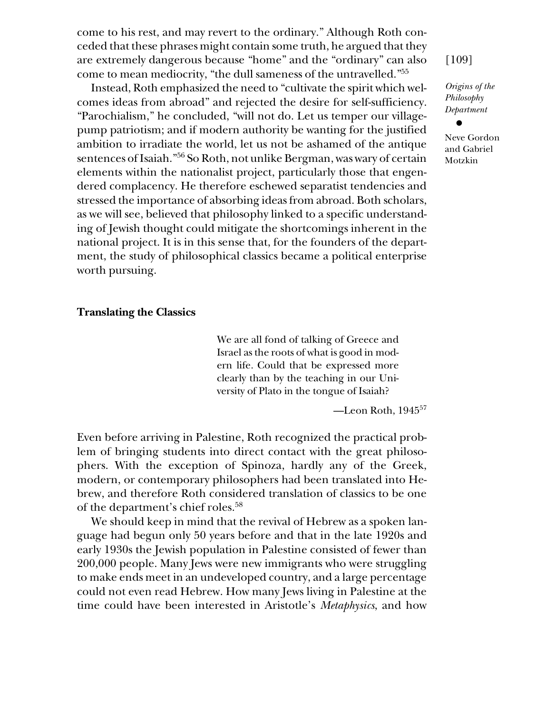come to his rest, and may revert to the ordinary." Although Roth conceded that these phrases might contain some truth, he argued that they are extremely dangerous because "home" and the "ordinary" can also come to mean mediocrity, "the dull sameness of the untravelled."55

Instead, Roth emphasized the need to "cultivate the spirit which welcomes ideas from abroad" and rejected the desire for self-sufficiency. "Parochialism," he concluded, "will not do. Let us temper our villagepump patriotism; and if modern authority be wanting for the justified ambition to irradiate the world, let us not be ashamed of the antique sentences of Isaiah."56 So Roth, not unlike Bergman, was wary of certain elements within the nationalist project, particularly those that engendered complacency. He therefore eschewed separatist tendencies and stressed the importance of absorbing ideas from abroad. Both scholars, as we will see, believed that philosophy linked to a specific understanding of Jewish thought could mitigate the shortcomings inherent in the national project. It is in this sense that, for the founders of the department, the study of philosophical classics became a political enterprise worth pursuing.

# **Translating the Classics**

We are all fond of talking of Greece and Israel as the roots of what is good in modern life. Could that be expressed more clearly than by the teaching in our University of Plato in the tongue of Isaiah?

—Leon Roth,  $1945^{57}$ 

Even before arriving in Palestine, Roth recognized the practical problem of bringing students into direct contact with the great philosophers. With the exception of Spinoza, hardly any of the Greek, modern, or contemporary philosophers had been translated into Hebrew, and therefore Roth considered translation of classics to be one of the department's chief roles.58

We should keep in mind that the revival of Hebrew as a spoken language had begun only 50 years before and that in the late 1920s and early 1930s the Jewish population in Palestine consisted of fewer than 200,000 people. Many Jews were new immigrants who were struggling to make ends meet in an undeveloped country, and a large percentage could not even read Hebrew. How many Jews living in Palestine at the time could have been interested in Aristotle's *Metaphysics*, and how

[109]

*Origins of the Philosophy Department* •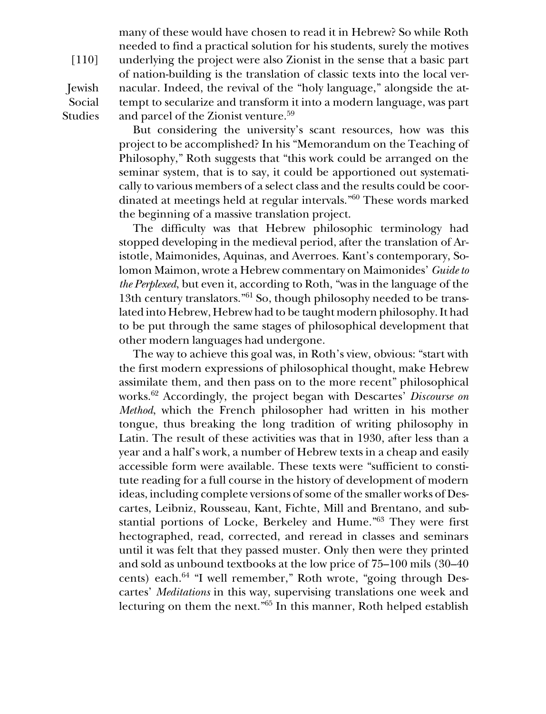many of these would have chosen to read it in Hebrew? So while Roth needed to find a practical solution for his students, surely the motives underlying the project were also Zionist in the sense that a basic part of nation-building is the translation of classic texts into the local vernacular. Indeed, the revival of the "holy language," alongside the attempt to secularize and transform it into a modern language, was part and parcel of the Zionist venture.<sup>59</sup>

But considering the university's scant resources, how was this project to be accomplished? In his "Memorandum on the Teaching of Philosophy," Roth suggests that "this work could be arranged on the seminar system, that is to say, it could be apportioned out systematically to various members of a select class and the results could be coordinated at meetings held at regular intervals."60 These words marked the beginning of a massive translation project.

The difficulty was that Hebrew philosophic terminology had stopped developing in the medieval period, after the translation of Aristotle, Maimonides, Aquinas, and Averroes. Kant's contemporary, Solomon Maimon, wrote a Hebrew commentary on Maimonides' *Guide to the Perplexed*, but even it, according to Roth, "was in the language of the 13th century translators."<sup>61</sup> So, though philosophy needed to be translated into Hebrew, Hebrew had to be taught modern philosophy. It had to be put through the same stages of philosophical development that other modern languages had undergone.

The way to achieve this goal was, in Roth's view, obvious: "start with the first modern expressions of philosophical thought, make Hebrew assimilate them, and then pass on to the more recent" philosophical works.62 Accordingly, the project began with Descartes' *Discourse on Method*, which the French philosopher had written in his mother tongue, thus breaking the long tradition of writing philosophy in Latin. The result of these activities was that in 1930, after less than a year and a half's work, a number of Hebrew texts in a cheap and easily accessible form were available. These texts were "sufficient to constitute reading for a full course in the history of development of modern ideas, including complete versions of some of the smaller works of Descartes, Leibniz, Rousseau, Kant, Fichte, Mill and Brentano, and substantial portions of Locke, Berkeley and Hume."63 They were first hectographed, read, corrected, and reread in classes and seminars until it was felt that they passed muster. Only then were they printed and sold as unbound textbooks at the low price of 75–100 mils (30–40 cents) each.64 "I well remember," Roth wrote, "going through Descartes' *Meditations* in this way, supervising translations one week and lecturing on them the next."65 In this manner, Roth helped establish

## [110]

Jewish Social Studies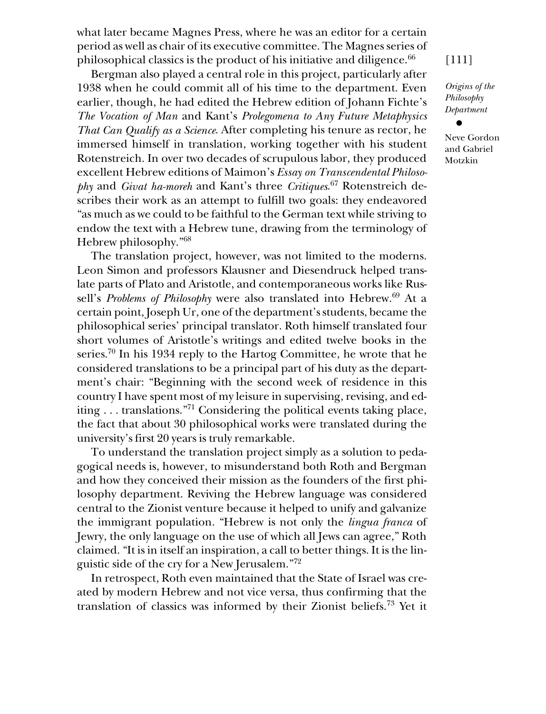what later became Magnes Press, where he was an editor for a certain period as well as chair of its executive committee. The Magnes series of philosophical classics is the product of his initiative and diligence.<sup>66</sup>

Bergman also played a central role in this project, particularly after 1938 when he could commit all of his time to the department. Even earlier, though, he had edited the Hebrew edition of Johann Fichte's *The Vocation of Man* and Kant's *Prolegomena to Any Future Metaphysics That Can Qualify as a Science*. After completing his tenure as rector, he immersed himself in translation, working together with his student Rotenstreich. In over two decades of scrupulous labor, they produced excellent Hebrew editions of Maimon's *Essay on Transcendental Philosophy* and *Givat ha-moreh* and Kant's three *Critiques*. 67 Rotenstreich describes their work as an attempt to fulfill two goals: they endeavored "as much as we could to be faithful to the German text while striving to endow the text with a Hebrew tune, drawing from the terminology of Hebrew philosophy."68

The translation project, however, was not limited to the moderns. Leon Simon and professors Klausner and Diesendruck helped translate parts of Plato and Aristotle, and contemporaneous works like Russell's Problems of Philosophy were also translated into Hebrew.<sup>69</sup> At a certain point, Joseph Ur, one of the department's students, became the philosophical series' principal translator. Roth himself translated four short volumes of Aristotle's writings and edited twelve books in the series.70 In his 1934 reply to the Hartog Committee, he wrote that he considered translations to be a principal part of his duty as the department's chair: "Beginning with the second week of residence in this country I have spent most of my leisure in supervising, revising, and editing . . . translations."71 Considering the political events taking place, the fact that about 30 philosophical works were translated during the university's first 20 years is truly remarkable.

To understand the translation project simply as a solution to pedagogical needs is, however, to misunderstand both Roth and Bergman and how they conceived their mission as the founders of the first philosophy department. Reviving the Hebrew language was considered central to the Zionist venture because it helped to unify and galvanize the immigrant population. "Hebrew is not only the *lingua franca* of Jewry, the only language on the use of which all Jews can agree," Roth claimed. "It is in itself an inspiration, a call to better things. It is the linguistic side of the cry for a New Jerusalem."72

In retrospect, Roth even maintained that the State of Israel was created by modern Hebrew and not vice versa, thus confirming that the translation of classics was informed by their Zionist beliefs.73 Yet it

# [111]

*Origins of the Philosophy Department* •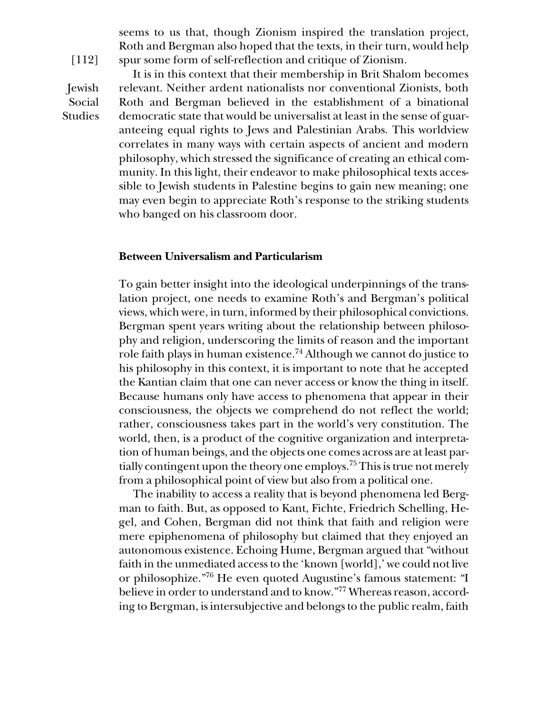seems to us that, though Zionism inspired the translation project, Roth and Bergman also hoped that the texts, in their turn, would help spur some form of self-reflection and critique of Zionism.

Jewish Social Studies

It is in this context that their membership in Brit Shalom becomes relevant. Neither ardent nationalists nor conventional Zionists, both Roth and Bergman believed in the establishment of a binational democratic state that would be universalist at least in the sense of guaranteeing equal rights to Jews and Palestinian Arabs. This worldview correlates in many ways with certain aspects of ancient and modern philosophy, which stressed the significance of creating an ethical community. In this light, their endeavor to make philosophical texts accessible to Jewish students in Palestine begins to gain new meaning; one may even begin to appreciate Roth's response to the striking students who banged on his classroom door.

### **Between Universalism and Particularism**

To gain better insight into the ideological underpinnings of the translation project, one needs to examine Roth's and Bergman's political views, which were, in turn, informed by their philosophical convictions. Bergman spent years writing about the relationship between philosophy and religion, underscoring the limits of reason and the important role faith plays in human existence.74 Although we cannot do justice to his philosophy in this context, it is important to note that he accepted the Kantian claim that one can never access or know the thing in itself. Because humans only have access to phenomena that appear in their consciousness, the objects we comprehend do not reflect the world; rather, consciousness takes part in the world's very constitution. The world, then, is a product of the cognitive organization and interpretation of human beings, and the objects one comes across are at least partially contingent upon the theory one employs.75 This is true not merely from a philosophical point of view but also from a political one.

The inability to access a reality that is beyond phenomena led Bergman to faith. But, as opposed to Kant, Fichte, Friedrich Schelling, Hegel, and Cohen, Bergman did not think that faith and religion were mere epiphenomena of philosophy but claimed that they enjoyed an autonomous existence. Echoing Hume, Bergman argued that "without faith in the unmediated access to the 'known [world],' we could not live or philosophize."76 He even quoted Augustine's famous statement: "I believe in order to understand and to know."77 Whereas reason, according to Bergman, is intersubjective and belongs to the public realm, faith

[112]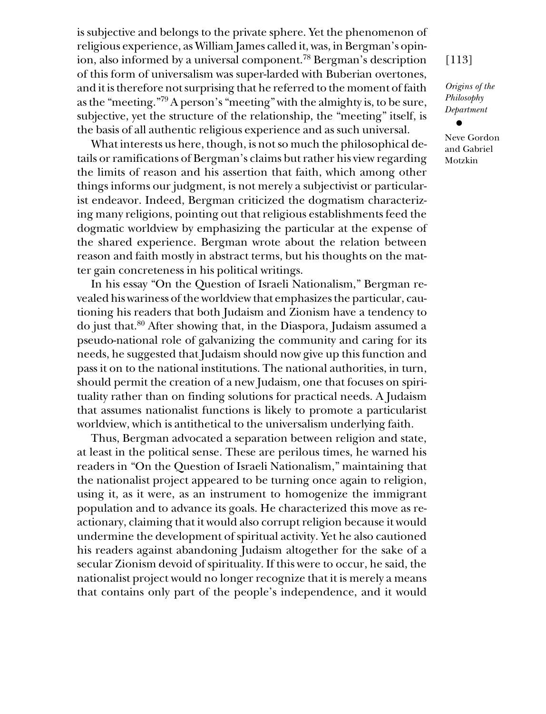is subjective and belongs to the private sphere. Yet the phenomenon of religious experience, as William James called it, was, in Bergman's opinion, also informed by a universal component.78 Bergman's description of this form of universalism was super-larded with Buberian overtones, and it is therefore not surprising that he referred to the moment of faith as the "meeting."79 A person's "meeting" with the almighty is, to be sure, subjective, yet the structure of the relationship, the "meeting" itself, is the basis of all authentic religious experience and as such universal.

What interests us here, though, is not so much the philosophical details or ramifications of Bergman's claims but rather his view regarding the limits of reason and his assertion that faith, which among other things informs our judgment, is not merely a subjectivist or particularist endeavor. Indeed, Bergman criticized the dogmatism characterizing many religions, pointing out that religious establishments feed the dogmatic worldview by emphasizing the particular at the expense of the shared experience. Bergman wrote about the relation between reason and faith mostly in abstract terms, but his thoughts on the matter gain concreteness in his political writings.

In his essay "On the Question of Israeli Nationalism," Bergman revealed his wariness of the worldview that emphasizes the particular, cautioning his readers that both Judaism and Zionism have a tendency to do just that.80 After showing that, in the Diaspora, Judaism assumed a pseudo-national role of galvanizing the community and caring for its needs, he suggested that Judaism should now give up this function and pass it on to the national institutions. The national authorities, in turn, should permit the creation of a new Judaism, one that focuses on spirituality rather than on finding solutions for practical needs. A Judaism that assumes nationalist functions is likely to promote a particularist worldview, which is antithetical to the universalism underlying faith.

Thus, Bergman advocated a separation between religion and state, at least in the political sense. These are perilous times, he warned his readers in "On the Question of Israeli Nationalism," maintaining that the nationalist project appeared to be turning once again to religion, using it, as it were, as an instrument to homogenize the immigrant population and to advance its goals. He characterized this move as reactionary, claiming that it would also corrupt religion because it would undermine the development of spiritual activity. Yet he also cautioned his readers against abandoning Judaism altogether for the sake of a secular Zionism devoid of spirituality. If this were to occur, he said, the nationalist project would no longer recognize that it is merely a means that contains only part of the people's independence, and it would

[113]

*Origins of the Philosophy Department* •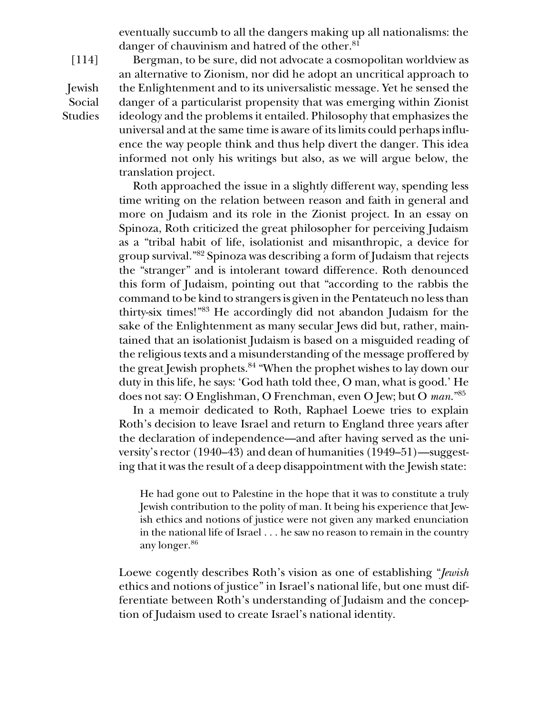eventually succumb to all the dangers making up all nationalisms: the danger of chauvinism and hatred of the other.<sup>81</sup>

Bergman, to be sure, did not advocate a cosmopolitan worldview as an alternative to Zionism, nor did he adopt an uncritical approach to the Enlightenment and to its universalistic message. Yet he sensed the danger of a particularist propensity that was emerging within Zionist ideology and the problems it entailed. Philosophy that emphasizes the universal and at the same time is aware of its limits could perhaps influence the way people think and thus help divert the danger. This idea informed not only his writings but also, as we will argue below, the translation project.

Roth approached the issue in a slightly different way, spending less time writing on the relation between reason and faith in general and more on Judaism and its role in the Zionist project. In an essay on Spinoza, Roth criticized the great philosopher for perceiving Judaism as a "tribal habit of life, isolationist and misanthropic, a device for group survival."82 Spinoza was describing a form of Judaism that rejects the "stranger" and is intolerant toward difference. Roth denounced this form of Judaism, pointing out that "according to the rabbis the command to be kind to strangers is given in the Pentateuch no less than thirty-six times!"83 He accordingly did not abandon Judaism for the sake of the Enlightenment as many secular Jews did but, rather, maintained that an isolationist Judaism is based on a misguided reading of the religious texts and a misunderstanding of the message proffered by the great Jewish prophets.84 "When the prophet wishes to lay down our duty in this life, he says: 'God hath told thee, O man, what is good.' He does not say: O Englishman, O Frenchman, even O Jew; but O *man*."85

In a memoir dedicated to Roth, Raphael Loewe tries to explain Roth's decision to leave Israel and return to England three years after the declaration of independence—and after having served as the university's rector (1940–43) and dean of humanities (1949–51)—suggesting that it was the result of a deep disappointment with the Jewish state:

He had gone out to Palestine in the hope that it was to constitute a truly Jewish contribution to the polity of man. It being his experience that Jewish ethics and notions of justice were not given any marked enunciation in the national life of Israel . . . he saw no reason to remain in the country any longer.<sup>86</sup>

Loewe cogently describes Roth's vision as one of establishing "*Jewish* ethics and notions of justice" in Israel's national life, but one must differentiate between Roth's understanding of Judaism and the conception of Judaism used to create Israel's national identity.

## [114]

Jewish Social Studies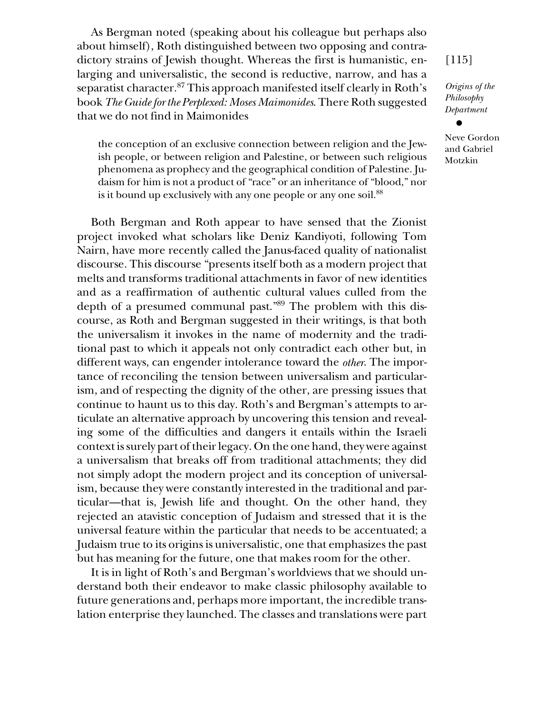As Bergman noted (speaking about his colleague but perhaps also about himself), Roth distinguished between two opposing and contradictory strains of Jewish thought. Whereas the first is humanistic, enlarging and universalistic, the second is reductive, narrow, and has a separatist character.<sup>87</sup> This approach manifested itself clearly in Roth's book *The Guide for the Perplexed: Moses Maimonides*. There Roth suggested that we do not find in Maimonides

the conception of an exclusive connection between religion and the Jewish people, or between religion and Palestine, or between such religious phenomena as prophecy and the geographical condition of Palestine. Judaism for him is not a product of "race" or an inheritance of "blood," nor is it bound up exclusively with any one people or any one soil.<sup>88</sup>

Both Bergman and Roth appear to have sensed that the Zionist project invoked what scholars like Deniz Kandiyoti, following Tom Nairn, have more recently called the Janus-faced quality of nationalist discourse. This discourse "presents itself both as a modern project that melts and transforms traditional attachments in favor of new identities and as a reaffirmation of authentic cultural values culled from the depth of a presumed communal past."89 The problem with this discourse, as Roth and Bergman suggested in their writings, is that both the universalism it invokes in the name of modernity and the traditional past to which it appeals not only contradict each other but, in different ways, can engender intolerance toward the *other*. The importance of reconciling the tension between universalism and particularism, and of respecting the dignity of the other, are pressing issues that continue to haunt us to this day. Roth's and Bergman's attempts to articulate an alternative approach by uncovering this tension and revealing some of the difficulties and dangers it entails within the Israeli context is surely part of their legacy. On the one hand, they were against a universalism that breaks off from traditional attachments; they did not simply adopt the modern project and its conception of universalism, because they were constantly interested in the traditional and particular—that is, Jewish life and thought. On the other hand, they rejected an atavistic conception of Judaism and stressed that it is the universal feature within the particular that needs to be accentuated; a Judaism true to its origins is universalistic, one that emphasizes the past but has meaning for the future, one that makes room for the other.

It is in light of Roth's and Bergman's worldviews that we should understand both their endeavor to make classic philosophy available to future generations and, perhaps more important, the incredible translation enterprise they launched. The classes and translations were part

[115]

*Origins of the Philosophy Department* •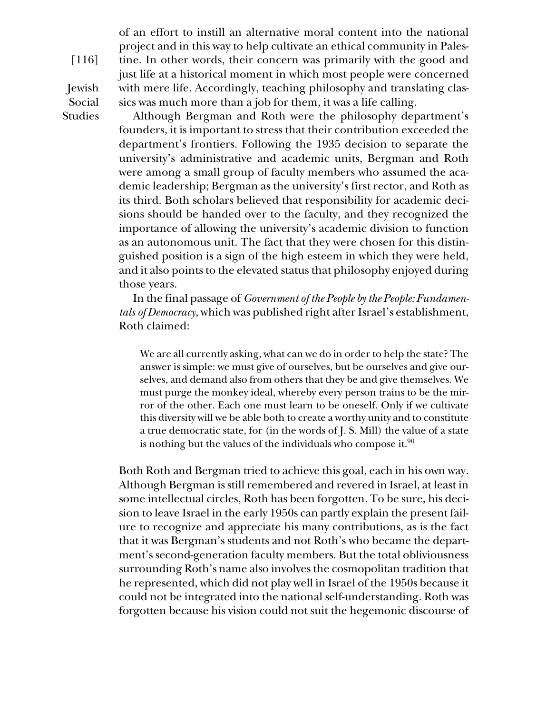[116]

Jewish Social Studies

of an effort to instill an alternative moral content into the national project and in this way to help cultivate an ethical community in Palestine. In other words, their concern was primarily with the good and just life at a historical moment in which most people were concerned with mere life. Accordingly, teaching philosophy and translating classics was much more than a job for them, it was a life calling.

Although Bergman and Roth were the philosophy department's founders, it is important to stress that their contribution exceeded the department's frontiers. Following the 1935 decision to separate the university's administrative and academic units, Bergman and Roth were among a small group of faculty members who assumed the academic leadership; Bergman as the university's first rector, and Roth as its third. Both scholars believed that responsibility for academic decisions should be handed over to the faculty, and they recognized the importance of allowing the university's academic division to function as an autonomous unit. The fact that they were chosen for this distinguished position is a sign of the high esteem in which they were held, and it also points to the elevated status that philosophy enjoyed during those years.

In the final passage of *Government of the People by the People: Fundamentals of Democracy*, which was published right after Israel's establishment, Roth claimed:

We are all currently asking, what can we do in order to help the state? The answer is simple: we must give of ourselves, but be ourselves and give ourselves, and demand also from others that they be and give themselves. We must purge the monkey ideal, whereby every person trains to be the mirror of the other. Each one must learn to be oneself. Only if we cultivate this diversity will we be able both to create a worthy unity and to constitute a true democratic state, for (in the words of J. S. Mill) the value of a state is nothing but the values of the individuals who compose it. $90$ 

Both Roth and Bergman tried to achieve this goal, each in his own way. Although Bergman is still remembered and revered in Israel, at least in some intellectual circles, Roth has been forgotten. To be sure, his decision to leave Israel in the early 1950s can partly explain the present failure to recognize and appreciate his many contributions, as is the fact that it was Bergman's students and not Roth's who became the department's second-generation faculty members. But the total obliviousness surrounding Roth's name also involves the cosmopolitan tradition that he represented, which did not play well in Israel of the 1950s because it could not be integrated into the national self-understanding. Roth was forgotten because his vision could not suit the hegemonic discourse of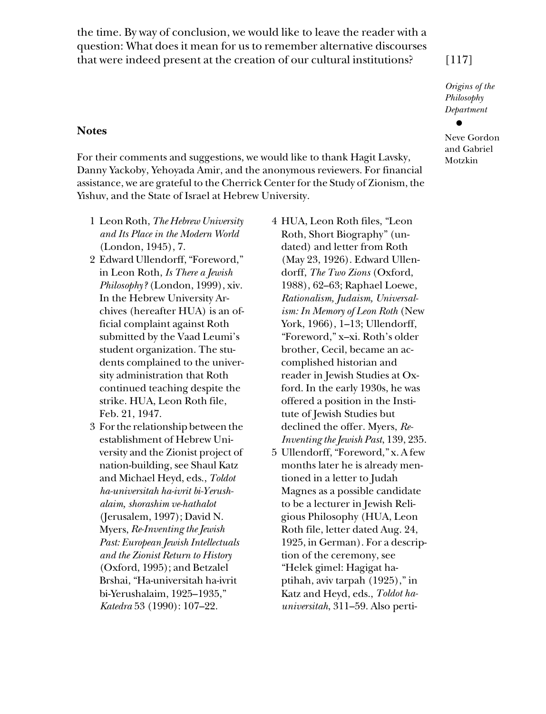the time. By way of conclusion, we would like to leave the reader with a question: What does it mean for us to remember alternative discourses that were indeed present at the creation of our cultural institutions?

**Notes**

For their comments and suggestions, we would like to thank Hagit Lavsky, Danny Yackoby, Yehoyada Amir, and the anonymous reviewers. For financial assistance, we are grateful to the Cherrick Center for the Study of Zionism, the Yishuv, and the State of Israel at Hebrew University.

- 1 Leon Roth, *The Hebrew University and Its Place in the Modern World* (London, 1945), 7.
- 2 Edward Ullendorff, "Foreword," in Leon Roth, *Is There a Jewish Philosophy?* (London, 1999), xiv. In the Hebrew University Archives (hereafter HUA) is an official complaint against Roth submitted by the Vaad Leumi's student organization. The students complained to the university administration that Roth continued teaching despite the strike. HUA, Leon Roth file, Feb. 21, 1947.
- 3 For the relationship between the establishment of Hebrew University and the Zionist project of nation-building, see Shaul Katz and Michael Heyd, eds., *Toldot ha-universitah ha-ivrit bi-Yerushalaim, shorashim ve-hathalot* (Jerusalem, 1997); David N. Myers, *Re-Inventing the Jewish Past: European Jewish Intellectuals and the Zionist Return to History* (Oxford, 1995); and Betzalel Brshai, "Ha-universitah ha-ivrit bi-Yerushalaim, 1925–1935," *Katedra* 53 (1990): 107–22.
- 4 HUA, Leon Roth files, "Leon Roth, Short Biography" (undated) and letter from Roth (May 23, 1926). Edward Ullendorff, *The Two Zions* (Oxford, 1988), 62–63; Raphael Loewe, *Rationalism, Judaism, Universalism: In Memory of Leon Roth* (New York, 1966), 1–13; Ullendorff, "Foreword," x–xi. Roth's older brother, Cecil, became an accomplished historian and reader in Jewish Studies at Oxford. In the early 1930s, he was offered a position in the Institute of Jewish Studies but declined the offer. Myers, *Re-Inventing the Jewish Past*, 139, 235.
- 5 Ullendorff, "Foreword," x. A few months later he is already mentioned in a letter to Judah Magnes as a possible candidate to be a lecturer in Jewish Religious Philosophy (HUA, Leon Roth file, letter dated Aug. 24, 1925, in German). For a description of the ceremony, see "Helek gimel: Hagigat haptihah, aviv tarpah (1925)," in Katz and Heyd, eds., *Toldot hauniversitah*, 311–59. Also perti-

[117]

*Origins of the Philosophy Department* •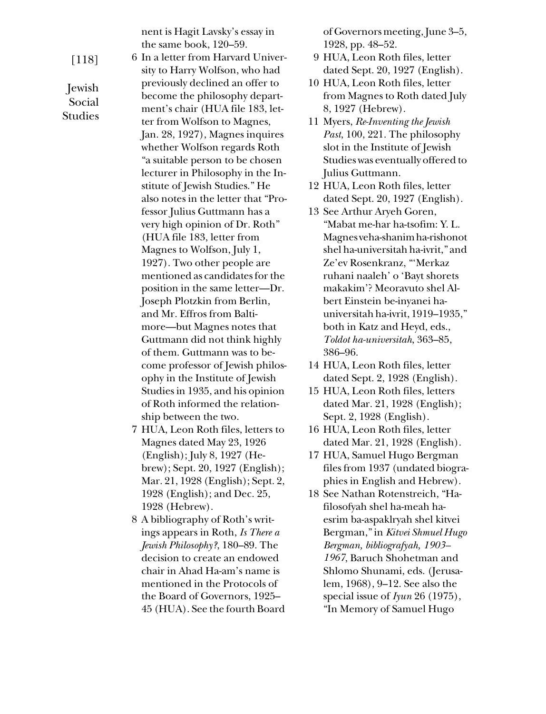nent is Hagit Lavsky's essay in the same book, 120–59. 6 In a letter from Harvard Univer-

Jewish Social Studies

[118]

sity to Harry Wolfson, who had previously declined an offer to become the philosophy department's chair (HUA file 183, letter from Wolfson to Magnes, Jan. 28, 1927), Magnes inquires whether Wolfson regards Roth "a suitable person to be chosen lecturer in Philosophy in the Institute of Jewish Studies." He also notes in the letter that "Professor Julius Guttmann has a very high opinion of Dr. Roth" (HUA file 183, letter from Magnes to Wolfson, July 1, 1927). Two other people are mentioned as candidates for the position in the same letter—Dr. Joseph Plotzkin from Berlin, and Mr. Effros from Baltimore—but Magnes notes that Guttmann did not think highly of them. Guttmann was to become professor of Jewish philosophy in the Institute of Jewish Studies in 1935, and his opinion of Roth informed the relationship between the two.

- 7 HUA, Leon Roth files, letters to Magnes dated May 23, 1926 (English); July 8, 1927 (Hebrew); Sept. 20, 1927 (English); Mar. 21, 1928 (English); Sept. 2, 1928 (English); and Dec. 25, 1928 (Hebrew).
- 8 A bibliography of Roth's writings appears in Roth, *Is There a Jewish Philosophy?*, 180–89. The decision to create an endowed chair in Ahad Ha-am's name is mentioned in the Protocols of the Board of Governors, 1925– 45 (HUA). See the fourth Board

of Governors meeting, June 3–5, 1928, pp. 48–52.

- 9 HUA, Leon Roth files, letter dated Sept. 20, 1927 (English).
- 10 HUA, Leon Roth files, letter from Magnes to Roth dated July 8, 1927 (Hebrew).
- 11 Myers, *Re-Inventing the Jewish Past*, 100, 221. The philosophy slot in the Institute of Jewish Studies was eventually offered to Julius Guttmann.
- 12 HUA, Leon Roth files, letter dated Sept. 20, 1927 (English).
- 13 See Arthur Aryeh Goren, "Mabat me-har ha-tsofim: Y. L. Magnes veha-shanim ha-rishonot shel ha-universitah ha-ivrit," and Ze'ev Rosenkranz, "'Merkaz ruhani naaleh' o 'Bayt shorets makakim'? Meoravuto shel Albert Einstein be-inyanei hauniversitah ha-ivrit, 1919–1935," both in Katz and Heyd, eds., *Toldot ha-universitah*, 363–85, 386–96.
- 14 HUA, Leon Roth files, letter dated Sept. 2, 1928 (English).
- 15 HUA, Leon Roth files, letters dated Mar. 21, 1928 (English); Sept. 2, 1928 (English).
- 16 HUA, Leon Roth files, letter dated Mar. 21, 1928 (English).
- 17 HUA, Samuel Hugo Bergman files from 1937 (undated biographies in English and Hebrew).
- 18 See Nathan Rotenstreich, "Hafilosofyah shel ha-meah haesrim ba-aspaklryah shel kitvei Bergman," in *Kitvei Shmuel Hugo Bergman, bibliografyah, 1903– 1967*, Baruch Shohetman and Shlomo Shunami, eds. (Jerusalem, 1968), 9–12. See also the special issue of *Iyun* 26 (1975), "In Memory of Samuel Hugo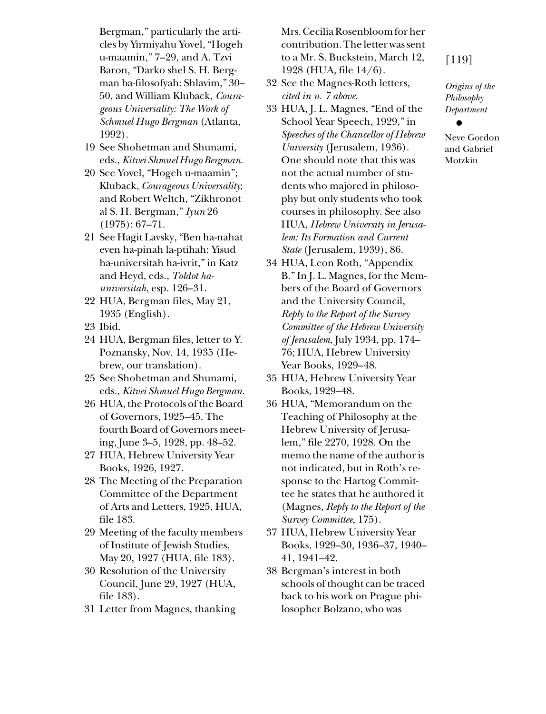Bergman," particularly the articles by Yirmiyahu Yovel, "Hogeh u-maamin," 7–29, and A. Tzvi Baron, "Darko shel S. H. Bergman ba-filosofyah: Shlavim," 30– 50, and William Kluback, *Courageous Universality: The Work of Schmuel Hugo Bergman* (Atlanta, 1992).

- 19 See Shohetman and Shunami, eds., *Kitvei Shmuel Hugo Bergman*.
- 20 See Yovel, "Hogeh u-maamin"; Kluback, *Courageous Universality*; and Robert Weltch, "Zikhronot al S. H. Bergman," *Iyun* 26 (1975): 67–71.
- 21 See Hagit Lavsky, "Ben ha-nahat even ha-pinah la-ptihah: Yisud ha-universitah ha-ivrit," in Katz and Heyd, eds., *Toldot hauniversitah*, esp. 126–31.
- 22 HUA, Bergman files, May 21, 1935 (English).
- 23 Ibid.
- 24 HUA, Bergman files, letter to Y. Poznansky, Nov. 14, 1935 (Hebrew, our translation).
- 25 See Shohetman and Shunami, eds., *Kitvei Shmuel Hugo Bergman*.
- 26 HUA, the Protocols of the Board of Governors, 1925–45. The fourth Board of Governors meeting, June 3–5, 1928, pp. 48–52.
- 27 HUA, Hebrew University Year Books, 1926, 1927.
- 28 The Meeting of the Preparation Committee of the Department of Arts and Letters, 1925, HUA, file 183.
- 29 Meeting of the faculty members of Institute of Jewish Studies, May 20, 1927 (HUA, file 183).
- 30 Resolution of the University Council, June 29, 1927 (HUA, file 183).
- 31 Letter from Magnes, thanking

Mrs. Cecilia Rosenbloom for her contribution. The letter was sent to a Mr. S. Buckstein, March 12, 1928 (HUA, file 14/6).

- 32 See the Magnes-Roth letters, *cited in n. 7 above*.
- 33 HUA, J. L. Magnes, "End of the School Year Speech, 1929," in *Speeches of the Chancellor of Hebrew University* (Jerusalem, 1936). One should note that this was not the actual number of students who majored in philosophy but only students who took courses in philosophy. See also HUA, *Hebrew University in Jerusalem: Its Formation and Current State* (Jerusalem, 1939), 86.
- 34 HUA, Leon Roth, "Appendix B." In J. L. Magnes, for the Members of the Board of Governors and the University Council, *Reply to the Report of the Survey Committee of the Hebrew University of Jerusalem*, July 1934, pp. 174– 76; HUA, Hebrew University Year Books, 1929–48.
- 35 HUA, Hebrew University Year Books, 1929–48.
- 36 HUA, "Memorandum on the Teaching of Philosophy at the Hebrew University of Jerusalem," file 2270, 1928. On the memo the name of the author is not indicated, but in Roth's response to the Hartog Committee he states that he authored it (Magnes, *Reply to the Report of the Survey Committee*, 175).
- 37 HUA, Hebrew University Year Books, 1929–30, 1936–37, 1940– 41, 1941–42.
- 38 Bergman's interest in both schools of thought can be traced back to his work on Prague philosopher Bolzano, who was

## [119]

*Origins of the Philosophy Department*

•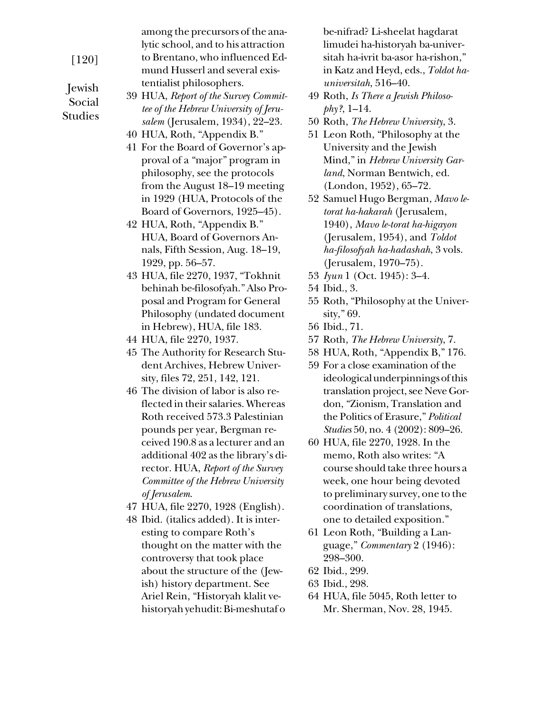among the precursors of the analytic school, and to his attraction to Brentano, who influenced Edmund Husserl and several existentialist philosophers.

- 39 HUA, *Report of the Survey Committee of the Hebrew University of Jerusalem* (Jerusalem, 1934), 22–23.
	- 40 HUA, Roth, "Appendix B."
	- 41 For the Board of Governor's approval of a "major" program in philosophy, see the protocols from the August 18–19 meeting in 1929 (HUA, Protocols of the Board of Governors, 1925–45).
	- 42 HUA, Roth, "Appendix B." HUA, Board of Governors Annals, Fifth Session, Aug. 18–19, 1929, pp. 56–57.
	- 43 HUA, file 2270, 1937, "Tokhnit behinah be-filosofyah." Also Proposal and Program for General Philosophy (undated document in Hebrew), HUA, file 183.
	- 44 HUA, file 2270, 1937.
	- 45 The Authority for Research Student Archives, Hebrew University, files 72, 251, 142, 121.
	- 46 The division of labor is also reflected in their salaries. Whereas Roth received 573.3 Palestinian pounds per year, Bergman received 190.8 as a lecturer and an additional 402 as the library's director. HUA, *Report of the Survey Committee of the Hebrew University of Jerusalem*.
	- 47 HUA, file 2270, 1928 (English).
	- 48 Ibid. (italics added). It is interesting to compare Roth's thought on the matter with the controversy that took place about the structure of the (Jewish) history department. See Ariel Rein, "Historyah klalit vehistoryah yehudit: Bi-meshutaf o

be-nifrad? Li-sheelat hagdarat limudei ha-historyah ba-universitah ha-ivrit ba-asor ha-rishon," in Katz and Heyd, eds., *Toldot hauniversitah*, 516–40.

- 49 Roth, *Is There a Jewish Philosophy?*, 1–14.
- 50 Roth, *The Hebrew University*, 3.
- 51 Leon Roth, "Philosophy at the University and the Jewish Mind," in *Hebrew University Garland*, Norman Bentwich, ed. (London, 1952), 65–72.
- 52 Samuel Hugo Bergman, *Mavo letorat ha-hakarah* (Jerusalem, 1940), *Mavo le-torat ha-higayon* (Jerusalem, 1954), and *Toldot ha-filosofyah ha-hadashah*, 3 vols. (Jerusalem, 1970–75).
- 53 *Iyun* 1 (Oct. 1945): 3–4.
- 54 Ibid., 3.
- 55 Roth, "Philosophy at the University," 69.
- 56 Ibid., 71.
- 57 Roth, *The Hebrew University*, 7.
- 58 HUA, Roth, "Appendix B," 176.
- 59 For a close examination of the ideological underpinnings of this translation project, see Neve Gordon, "Zionism, Translation and the Politics of Erasure," *Political Studies* 50, no. 4 (2002): 809–26.
- 60 HUA, file 2270, 1928. In the memo, Roth also writes: "A course should take three hours a week, one hour being devoted to preliminary survey, one to the coordination of translations, one to detailed exposition."
- 61 Leon Roth, "Building a Language," *Commentary* 2 (1946): 298–300.
- 62 Ibid., 299.
- 63 Ibid., 298.
- 64 HUA, file 5045, Roth letter to Mr. Sherman, Nov. 28, 1945.

### [120]

Jewish Social Studies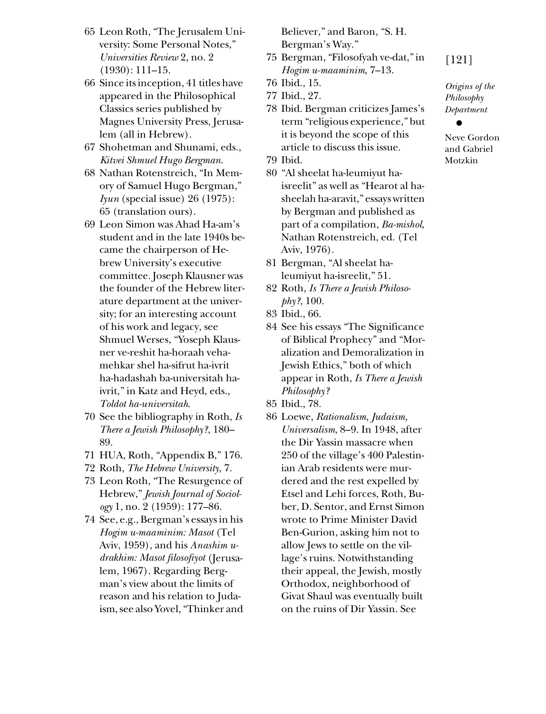- 65 Leon Roth, "The Jerusalem University: Some Personal Notes," *Universities Review* 2, no. 2 (1930): 111–15.
- 66 Since its inception, 41 titles have appeared in the Philosophical Classics series published by Magnes University Press, Jerusalem (all in Hebrew).
- 67 Shohetman and Shunami, eds., *Kitvei Shmuel Hugo Bergman*.
- 68 Nathan Rotenstreich, "In Memory of Samuel Hugo Bergman," *Iyun* (special issue) 26 (1975): 65 (translation ours).
- 69 Leon Simon was Ahad Ha-am's student and in the late 1940s became the chairperson of Hebrew University's executive committee. Joseph Klausner was the founder of the Hebrew literature department at the university; for an interesting account of his work and legacy, see Shmuel Werses, "Yoseph Klausner ve-reshit ha-horaah vehamehkar shel ha-sifrut ha-ivrit ha-hadashah ba-universitah haivrit," in Katz and Heyd, eds., *Toldot ha-universitah*.
- 70 See the bibliography in Roth, *Is There a Jewish Philosophy?*, 180– 89.
- 71 HUA, Roth, "Appendix B," 176.
- 72 Roth, *The Hebrew University*, 7.
- 73 Leon Roth, "The Resurgence of Hebrew," *Jewish Journal of Sociology* 1, no. 2 (1959): 177–86.
- 74 See, e.g., Bergman's essays in his *Hogim u-maaminim: Masot* (Tel Aviv, 1959), and his *Anashim udrakhim: Masot filosofiyot* (Jerusalem, 1967). Regarding Bergman's view about the limits of reason and his relation to Judaism, see also Yovel, "Thinker and

Believer," and Baron, "S. H. Bergman's Way."

- 75 Bergman, "Filosofyah ve-dat," in *Hogim u-maaminim*, 7–13.
- 76 Ibid., 15.
- 77 Ibid., 27.
- 78 Ibid. Bergman criticizes James's term "religious experience," but it is beyond the scope of this article to discuss this issue.
- 79 Ibid.
- 80 "Al sheelat ha-leumiyut haisreelit" as well as "Hearot al hasheelah ha-aravit," essays written by Bergman and published as part of a compilation, *Ba-mishol*, Nathan Rotenstreich, ed. (Tel Aviv, 1976).
- 81 Bergman, "Al sheelat haleumiyut ha-isreelit," 51.
- 82 Roth, *Is There a Jewish Philosophy?*, 100.
- 83 Ibid., 66.
- 84 See his essays "The Significance of Biblical Prophecy" and "Moralization and Demoralization in Jewish Ethics," both of which appear in Roth, *Is There a Jewish Philosophy?*
- 85 Ibid., 78.
- 86 Loewe, *Rationalism, Judaism, Universalism*, 8–9. In 1948, after the Dir Yassin massacre when 250 of the village's 400 Palestinian Arab residents were murdered and the rest expelled by Etsel and Lehi forces, Roth, Buber, D. Sentor, and Ernst Simon wrote to Prime Minister David Ben-Gurion, asking him not to allow Jews to settle on the village's ruins. Notwithstanding their appeal, the Jewish, mostly Orthodox, neighborhood of Givat Shaul was eventually built on the ruins of Dir Yassin. See

[121]

*Origins of the Philosophy Department*

•